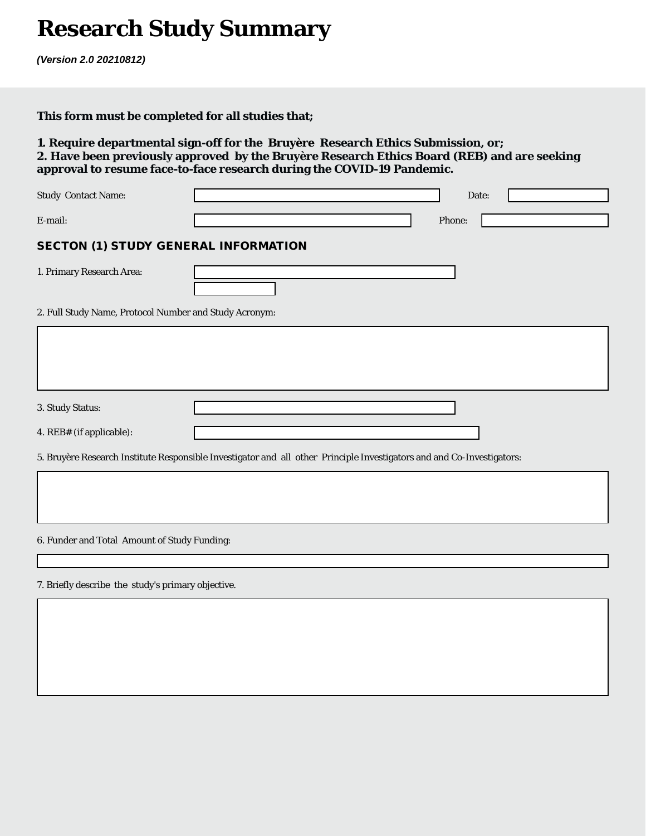# **Research Study Summary**

*(Version 2.0 20210812)*

# **This form must be completed for all studies that;**

# **1. Require departmental sign-off for the Bruyère Research Ethics Submission, or; 2. Have been previously approved by the Bruyère Research Ethics Board (REB) and are seeking approval to resume face-to-face research during the COVID-19 Pandemic.**

| <b>Study Contact Name:</b>                                                                                             | Date:                    |  |  |
|------------------------------------------------------------------------------------------------------------------------|--------------------------|--|--|
| E-mail:                                                                                                                | Phone:                   |  |  |
| <b>SECTON (1) STUDY GENERAL INFORMATION</b>                                                                            |                          |  |  |
| 1. Primary Research Area:                                                                                              | $\overline{\phantom{a}}$ |  |  |
| 2. Full Study Name, Protocol Number and Study Acronym:                                                                 |                          |  |  |
|                                                                                                                        |                          |  |  |
|                                                                                                                        |                          |  |  |
| 3. Study Status:                                                                                                       | $\blacktriangledown$     |  |  |
| 4. REB# (if applicable):                                                                                               |                          |  |  |
| 5. Bruyère Research Institute Responsible Investigator and all other Principle Investigators and and Co-Investigators: |                          |  |  |
|                                                                                                                        |                          |  |  |
| 6. Funder and Total Amount of Study Funding:                                                                           |                          |  |  |

#### 7. Briefly describe the study's primary objective.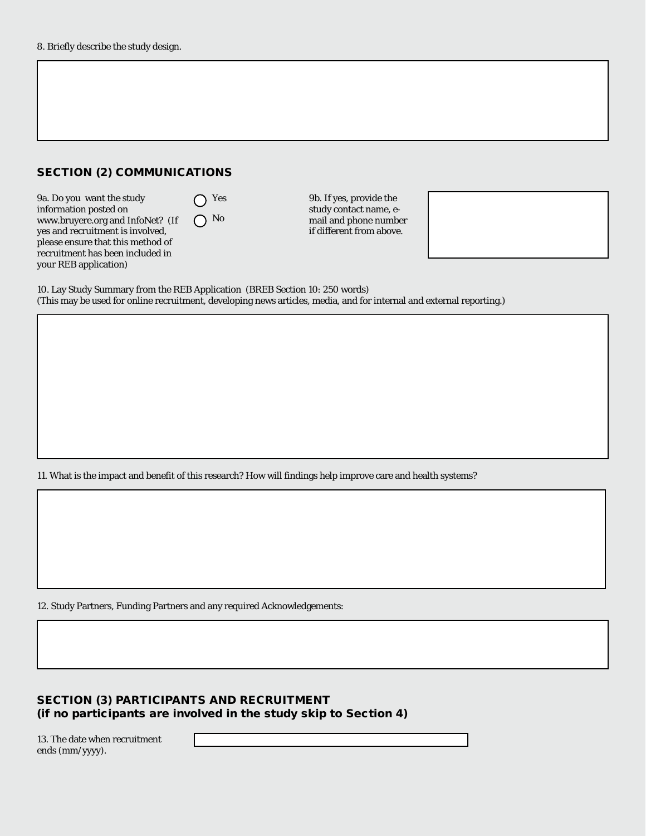## SECTION (2) COMMUNICATIONS

9a. Do you want the study information posted on www.bruyere.org and InfoNet? (If yes and recruitment is involved, please ensure that this method of recruitment has been included in your REB application)

◯ Yes  $\bigcap$  No

9b. If yes, provide the study contact name, email and phone number if different from above.



10. Lay Study Summary from the REB Application (BREB Section 10: 250 words) (This may be used for online recruitment, developing news articles, media, and for internal and external reporting.)

11. What is the impact and benefit of this research? How will findings help improve care and health systems?

12. Study Partners, Funding Partners and any required Acknowledgements:

### SECTION (3) PARTICIPANTS AND RECRUITMENT (if no participants are involved in the study skip to Section 4)

13. The date when recruitment ends (mm/yyyy).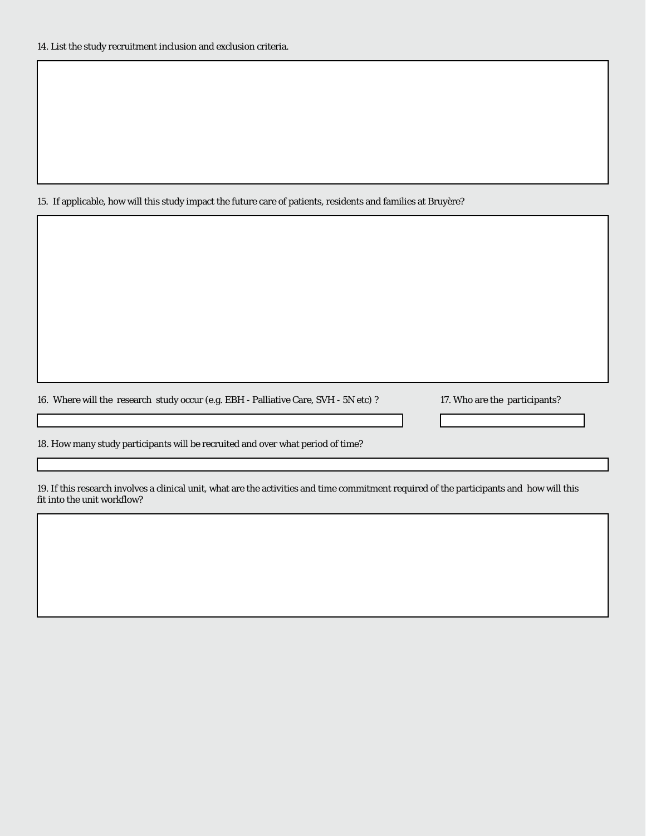#### 15. If applicable, how will this study impact the future care of patients, residents and families at Bruyère?

16. Where will the research study occur (e.g. EBH - Palliative Care, SVH - 5N etc) ? 17. Who are the participants?

 $\overline{\mathbf{r}}$ 

18. How many study participants will be recruited and over what period of time?

19. If this research involves a clinical unit, what are the activities and time commitment required of the participants and how will this fit into the unit workflow?